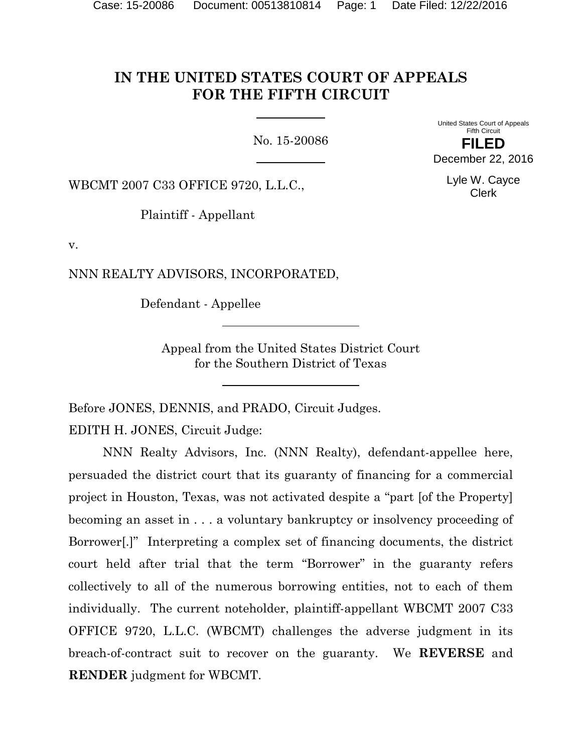# **IN THE UNITED STATES COURT OF APPEALS FOR THE FIFTH CIRCUIT**

No. 15-20086

United States Court of Appeals Fifth Circuit **FILED** December 22, 2016

> Lyle W. Cayce Clerk

WBCMT 2007 C33 OFFICE 9720, L.L.C.,

Plaintiff - Appellant

v.

NNN REALTY ADVISORS, INCORPORATED,

Defendant - Appellee

Appeal from the United States District Court for the Southern District of Texas

Before JONES, DENNIS, and PRADO, Circuit Judges.

EDITH H. JONES, Circuit Judge:

NNN Realty Advisors, Inc. (NNN Realty), defendant-appellee here, persuaded the district court that its guaranty of financing for a commercial project in Houston, Texas, was not activated despite a "part [of the Property] becoming an asset in . . . a voluntary bankruptcy or insolvency proceeding of Borrower[.]" Interpreting a complex set of financing documents, the district court held after trial that the term "Borrower" in the guaranty refers collectively to all of the numerous borrowing entities, not to each of them individually. The current noteholder, plaintiff-appellant WBCMT 2007 C33 OFFICE 9720, L.L.C. (WBCMT) challenges the adverse judgment in its breach-of-contract suit to recover on the guaranty. We **REVERSE** and **RENDER** judgment for WBCMT.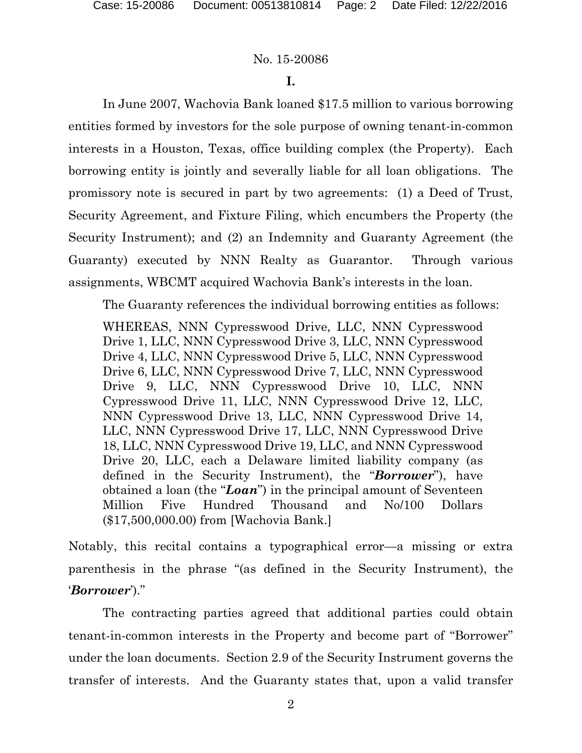## **I.**

In June 2007, Wachovia Bank loaned \$17.5 million to various borrowing entities formed by investors for the sole purpose of owning tenant-in-common interests in a Houston, Texas, office building complex (the Property). Each borrowing entity is jointly and severally liable for all loan obligations. The promissory note is secured in part by two agreements: (1) a Deed of Trust, Security Agreement, and Fixture Filing, which encumbers the Property (the Security Instrument); and (2) an Indemnity and Guaranty Agreement (the Guaranty) executed by NNN Realty as Guarantor. Through various assignments, WBCMT acquired Wachovia Bank's interests in the loan.

The Guaranty references the individual borrowing entities as follows:

WHEREAS, NNN Cypresswood Drive, LLC, NNN Cypresswood Drive 1, LLC, NNN Cypresswood Drive 3, LLC, NNN Cypresswood Drive 4, LLC, NNN Cypresswood Drive 5, LLC, NNN Cypresswood Drive 6, LLC, NNN Cypresswood Drive 7, LLC, NNN Cypresswood Drive 9, LLC, NNN Cypresswood Drive 10, LLC, NNN Cypresswood Drive 11, LLC, NNN Cypresswood Drive 12, LLC, NNN Cypresswood Drive 13, LLC, NNN Cypresswood Drive 14, LLC, NNN Cypresswood Drive 17, LLC, NNN Cypresswood Drive 18, LLC, NNN Cypresswood Drive 19, LLC, and NNN Cypresswood Drive 20, LLC, each a Delaware limited liability company (as defined in the Security Instrument), the "*Borrower*"), have obtained a loan (the "*Loan*") in the principal amount of Seventeen Million Five Hundred Thousand and No/100 Dollars (\$17,500,000.00) from [Wachovia Bank.]

Notably, this recital contains a typographical error—a missing or extra parenthesis in the phrase "(as defined in the Security Instrument), the '*Borrower*')."

The contracting parties agreed that additional parties could obtain tenant-in-common interests in the Property and become part of "Borrower" under the loan documents. Section 2.9 of the Security Instrument governs the transfer of interests. And the Guaranty states that, upon a valid transfer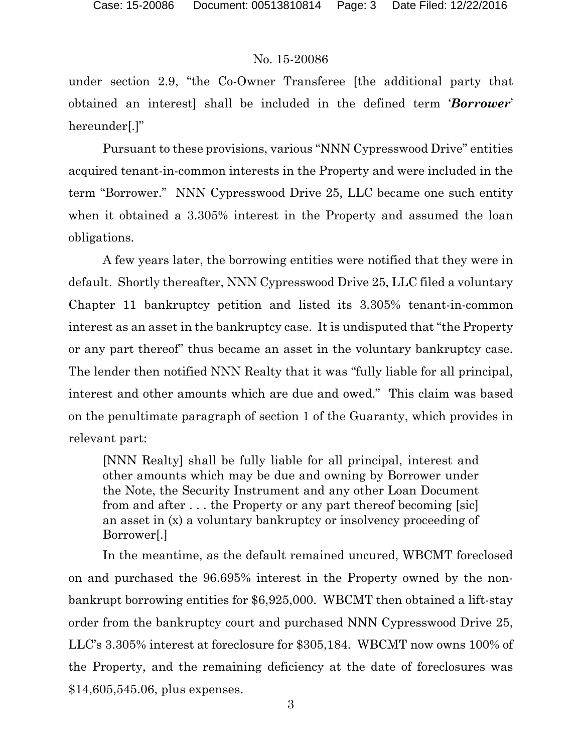under section 2.9, "the Co-Owner Transferee [the additional party that obtained an interest] shall be included in the defined term '*Borrower*' hereunder[.]"

Pursuant to these provisions, various "NNN Cypresswood Drive" entities acquired tenant-in-common interests in the Property and were included in the term "Borrower." NNN Cypresswood Drive 25, LLC became one such entity when it obtained a 3.305% interest in the Property and assumed the loan obligations.

 A few years later, the borrowing entities were notified that they were in default. Shortly thereafter, NNN Cypresswood Drive 25, LLC filed a voluntary Chapter 11 bankruptcy petition and listed its 3.305% tenant-in-common interest as an asset in the bankruptcy case. It is undisputed that "the Property or any part thereof" thus became an asset in the voluntary bankruptcy case. The lender then notified NNN Realty that it was "fully liable for all principal, interest and other amounts which are due and owed." This claim was based on the penultimate paragraph of section 1 of the Guaranty, which provides in relevant part:

[NNN Realty] shall be fully liable for all principal, interest and other amounts which may be due and owning by Borrower under the Note, the Security Instrument and any other Loan Document from and after . . . the Property or any part thereof becoming [sic] an asset in (x) a voluntary bankruptcy or insolvency proceeding of Borrower[.]

In the meantime, as the default remained uncured, WBCMT foreclosed on and purchased the 96.695% interest in the Property owned by the nonbankrupt borrowing entities for \$6,925,000. WBCMT then obtained a lift-stay order from the bankruptcy court and purchased NNN Cypresswood Drive 25, LLC's 3.305% interest at foreclosure for \$305,184. WBCMT now owns 100% of the Property, and the remaining deficiency at the date of foreclosures was \$14,605,545.06, plus expenses.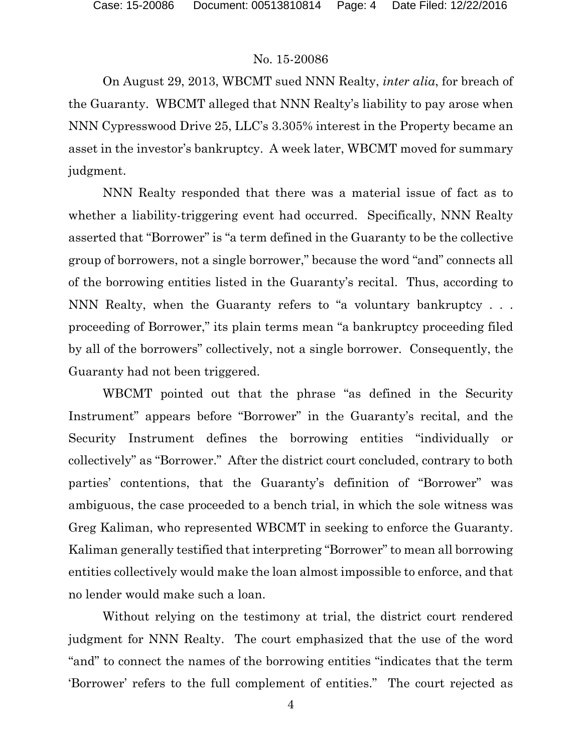On August 29, 2013, WBCMT sued NNN Realty, *inter alia*, for breach of the Guaranty. WBCMT alleged that NNN Realty's liability to pay arose when NNN Cypresswood Drive 25, LLC's 3.305% interest in the Property became an asset in the investor's bankruptcy. A week later, WBCMT moved for summary judgment.

 NNN Realty responded that there was a material issue of fact as to whether a liability-triggering event had occurred. Specifically, NNN Realty asserted that "Borrower" is "a term defined in the Guaranty to be the collective group of borrowers, not a single borrower," because the word "and" connects all of the borrowing entities listed in the Guaranty's recital. Thus, according to NNN Realty, when the Guaranty refers to "a voluntary bankruptcy . . . proceeding of Borrower," its plain terms mean "a bankruptcy proceeding filed by all of the borrowers" collectively, not a single borrower. Consequently, the Guaranty had not been triggered.

 WBCMT pointed out that the phrase "as defined in the Security Instrument" appears before "Borrower" in the Guaranty's recital, and the Security Instrument defines the borrowing entities "individually or collectively" as "Borrower." After the district court concluded, contrary to both parties' contentions, that the Guaranty's definition of "Borrower" was ambiguous, the case proceeded to a bench trial, in which the sole witness was Greg Kaliman, who represented WBCMT in seeking to enforce the Guaranty. Kaliman generally testified that interpreting "Borrower" to mean all borrowing entities collectively would make the loan almost impossible to enforce, and that no lender would make such a loan.

 Without relying on the testimony at trial, the district court rendered judgment for NNN Realty. The court emphasized that the use of the word "and" to connect the names of the borrowing entities "indicates that the term 'Borrower' refers to the full complement of entities." The court rejected as

4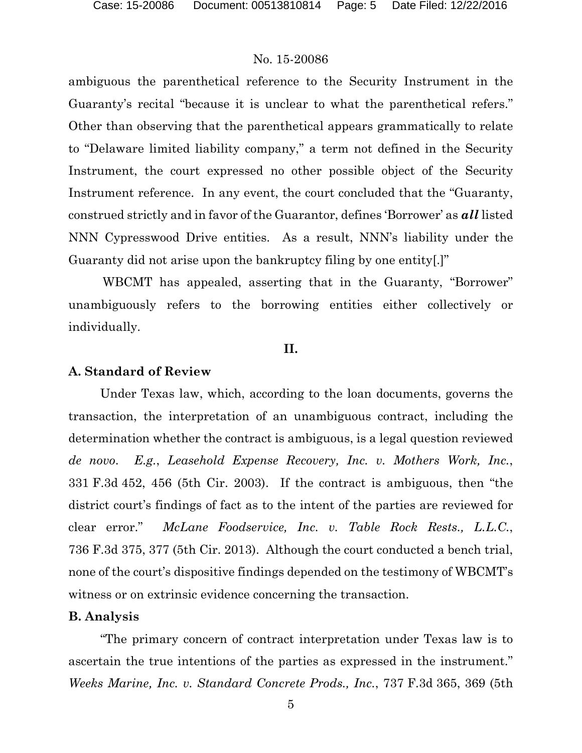ambiguous the parenthetical reference to the Security Instrument in the Guaranty's recital "because it is unclear to what the parenthetical refers." Other than observing that the parenthetical appears grammatically to relate to "Delaware limited liability company," a term not defined in the Security Instrument, the court expressed no other possible object of the Security Instrument reference. In any event, the court concluded that the "Guaranty, construed strictly and in favor of the Guarantor, defines 'Borrower' as *all* listed NNN Cypresswood Drive entities. As a result, NNN's liability under the Guaranty did not arise upon the bankruptcy filing by one entity[.]"

 WBCMT has appealed, asserting that in the Guaranty, "Borrower" unambiguously refers to the borrowing entities either collectively or individually.

#### **II.**

#### **A. Standard of Review**

Under Texas law, which, according to the loan documents, governs the transaction, the interpretation of an unambiguous contract, including the determination whether the contract is ambiguous, is a legal question reviewed *de novo*. *E.g.*, *Leasehold Expense Recovery, Inc. v. Mothers Work, Inc.*, 331 F.3d 452, 456 (5th Cir. 2003). If the contract is ambiguous, then "the district court's findings of fact as to the intent of the parties are reviewed for clear error." *McLane Foodservice, Inc. v. Table Rock Rests., L.L.C.*, 736 F.3d 375, 377 (5th Cir. 2013). Although the court conducted a bench trial, none of the court's dispositive findings depended on the testimony of WBCMT's witness or on extrinsic evidence concerning the transaction.

#### **B. Analysis**

"The primary concern of contract interpretation under Texas law is to ascertain the true intentions of the parties as expressed in the instrument." *Weeks Marine, Inc. v. Standard Concrete Prods., Inc.*, 737 F.3d 365, 369 (5th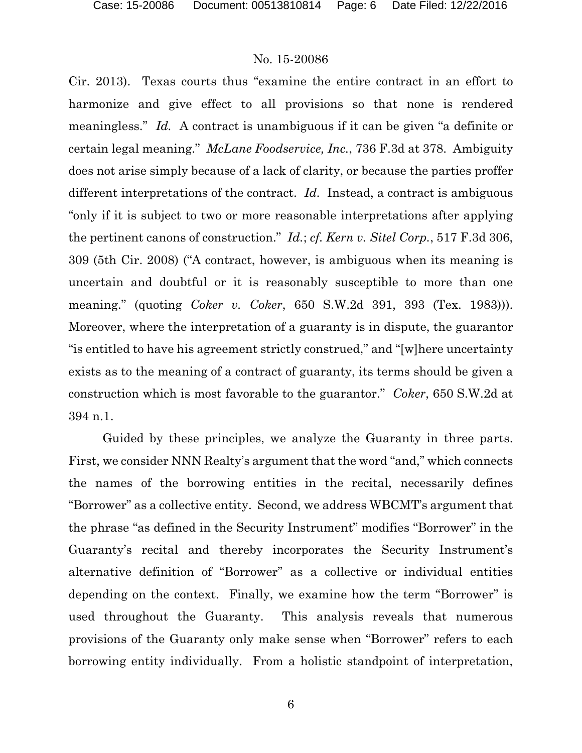Cir. 2013). Texas courts thus "examine the entire contract in an effort to harmonize and give effect to all provisions so that none is rendered meaningless." *Id.* A contract is unambiguous if it can be given "a definite or certain legal meaning." *McLane Foodservice, Inc.*, 736 F.3d at 378. Ambiguity does not arise simply because of a lack of clarity, or because the parties proffer different interpretations of the contract. *Id.* Instead, a contract is ambiguous "only if it is subject to two or more reasonable interpretations after applying the pertinent canons of construction." *Id.*; *cf. Kern v. Sitel Corp.*, 517 F.3d 306, 309 (5th Cir. 2008) ("A contract, however, is ambiguous when its meaning is uncertain and doubtful or it is reasonably susceptible to more than one meaning." (quoting *Coker v. Coker*, 650 S.W.2d 391, 393 (Tex. 1983))). Moreover, where the interpretation of a guaranty is in dispute, the guarantor "is entitled to have his agreement strictly construed," and "[w]here uncertainty exists as to the meaning of a contract of guaranty, its terms should be given a construction which is most favorable to the guarantor." *Coker*, 650 S.W.2d at 394 n.1.

Guided by these principles, we analyze the Guaranty in three parts. First, we consider NNN Realty's argument that the word "and," which connects the names of the borrowing entities in the recital, necessarily defines "Borrower" as a collective entity. Second, we address WBCMT's argument that the phrase "as defined in the Security Instrument" modifies "Borrower" in the Guaranty's recital and thereby incorporates the Security Instrument's alternative definition of "Borrower" as a collective or individual entities depending on the context. Finally, we examine how the term "Borrower" is used throughout the Guaranty. This analysis reveals that numerous provisions of the Guaranty only make sense when "Borrower" refers to each borrowing entity individually. From a holistic standpoint of interpretation,

6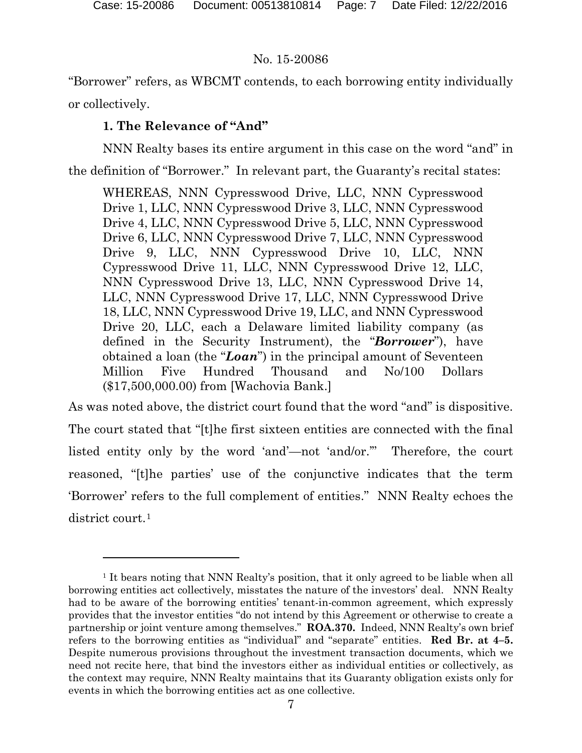$\overline{a}$ 

# No. 15-20086

"Borrower" refers, as WBCMT contends, to each borrowing entity individually or collectively.

# **1. The Relevance of "And"**

NNN Realty bases its entire argument in this case on the word "and" in

the definition of "Borrower." In relevant part, the Guaranty's recital states:

WHEREAS, NNN Cypresswood Drive, LLC, NNN Cypresswood Drive 1, LLC, NNN Cypresswood Drive 3, LLC, NNN Cypresswood Drive 4, LLC, NNN Cypresswood Drive 5, LLC, NNN Cypresswood Drive 6, LLC, NNN Cypresswood Drive 7, LLC, NNN Cypresswood Drive 9, LLC, NNN Cypresswood Drive 10, LLC, NNN Cypresswood Drive 11, LLC, NNN Cypresswood Drive 12, LLC, NNN Cypresswood Drive 13, LLC, NNN Cypresswood Drive 14, LLC, NNN Cypresswood Drive 17, LLC, NNN Cypresswood Drive 18, LLC, NNN Cypresswood Drive 19, LLC, and NNN Cypresswood Drive 20, LLC, each a Delaware limited liability company (as defined in the Security Instrument), the "*Borrower*"), have obtained a loan (the "*Loan*") in the principal amount of Seventeen Million Five Hundred Thousand and No/100 Dollars (\$17,500,000.00) from [Wachovia Bank.]

As was noted above, the district court found that the word "and" is dispositive. The court stated that "[t]he first sixteen entities are connected with the final listed entity only by the word 'and'—not 'and/or.'" Therefore, the court reasoned, "[t]he parties' use of the conjunctive indicates that the term 'Borrower' refers to the full complement of entities." NNN Realty echoes the district court.<sup>1</sup>

<sup>&</sup>lt;sup>1</sup> It bears noting that NNN Realty's position, that it only agreed to be liable when all borrowing entities act collectively, misstates the nature of the investors' deal. NNN Realty had to be aware of the borrowing entities' tenant-in-common agreement, which expressly provides that the investor entities "do not intend by this Agreement or otherwise to create a partnership or joint venture among themselves." **ROA.370.** Indeed, NNN Realty's own brief refers to the borrowing entities as "individual" and "separate" entities. **Red Br. at 4–5.**  Despite numerous provisions throughout the investment transaction documents, which we need not recite here, that bind the investors either as individual entities or collectively, as the context may require, NNN Realty maintains that its Guaranty obligation exists only for events in which the borrowing entities act as one collective.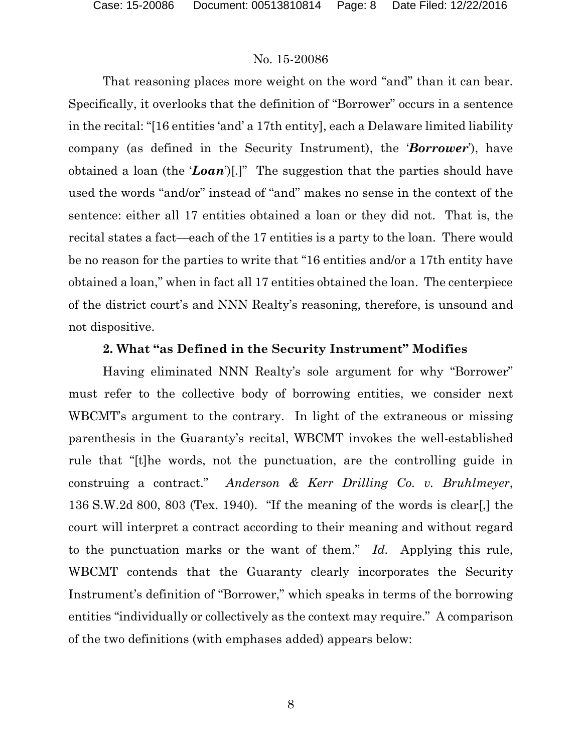That reasoning places more weight on the word "and" than it can bear. Specifically, it overlooks that the definition of "Borrower" occurs in a sentence in the recital: "[16 entities 'and' a 17th entity], each a Delaware limited liability company (as defined in the Security Instrument), the '*Borrower*'), have obtained a loan (the '*Loan*')[.]" The suggestion that the parties should have used the words "and/or" instead of "and" makes no sense in the context of the sentence: either all 17 entities obtained a loan or they did not. That is, the recital states a fact—each of the 17 entities is a party to the loan. There would be no reason for the parties to write that "16 entities and/or a 17th entity have obtained a loan," when in fact all 17 entities obtained the loan. The centerpiece of the district court's and NNN Realty's reasoning, therefore, is unsound and not dispositive.

### **2. What "as Defined in the Security Instrument" Modifies**

Having eliminated NNN Realty's sole argument for why "Borrower" must refer to the collective body of borrowing entities, we consider next WBCMT's argument to the contrary. In light of the extraneous or missing parenthesis in the Guaranty's recital, WBCMT invokes the well-established rule that "[t]he words, not the punctuation, are the controlling guide in construing a contract." *Anderson & Kerr Drilling Co. v. Bruhlmeyer*, 136 S.W.2d 800, 803 (Tex. 1940). "If the meaning of the words is clear[,] the court will interpret a contract according to their meaning and without regard to the punctuation marks or the want of them." *Id.* Applying this rule, WBCMT contends that the Guaranty clearly incorporates the Security Instrument's definition of "Borrower," which speaks in terms of the borrowing entities "individually or collectively as the context may require." A comparison of the two definitions (with emphases added) appears below: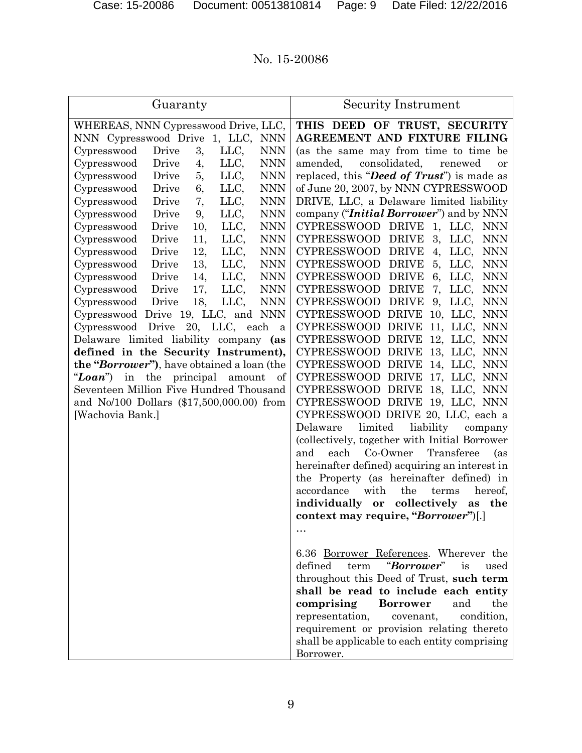| Guaranty                                          | Security Instrument                                            |
|---------------------------------------------------|----------------------------------------------------------------|
| WHEREAS, NNN Cypresswood Drive, LLC,              | THIS DEED OF TRUST, SECURITY                                   |
| NNN Cypresswood Drive<br>1, LLC,<br><b>NNN</b>    | <b>AGREEMENT AND FIXTURE FILING</b>                            |
| LLC,<br>3,<br><b>NNN</b><br>Cypresswood<br>Drive  | (as the same may from time to time be                          |
| <b>NNN</b><br>Cypresswood<br>Drive<br>4,<br>LLC,  | amended,<br>consolidated,<br>renewed<br><b>or</b>              |
| <b>NNN</b><br>Cypresswood<br>Drive<br>LLC,<br>5,  | replaced, this " <b>Deed of Trust</b> ") is made as            |
| <b>NNN</b><br>Drive<br>LLC,<br>Cypresswood<br>6,  | of June 20, 2007, by NNN CYPRESSWOOD                           |
| <b>NNN</b><br>Drive<br>7,<br>LLC,<br>Cypresswood  | DRIVE, LLC, a Delaware limited liability                       |
| <b>NNN</b><br>LLC,<br>Drive<br>9,<br>Cypresswood  | company (" <i>Initial Borrower</i> ") and by NNN               |
| <b>NNN</b><br>Cypresswood<br>Drive<br>10,<br>LLC, | <b>CYPRESSWOOD</b><br>DRIVE<br>$1, \text{LLC},$<br><b>NNN</b>  |
| <b>NNN</b><br>Cypresswood<br>Drive<br>11,<br>LLC, | 3,<br><b>CYPRESSWOOD</b><br><b>DRIVE</b><br>LLC,<br><b>NNN</b> |
| <b>NNN</b><br>Cypresswood<br>Drive<br>12,<br>LLC, | <b>CYPRESSWOOD</b><br><b>DRIVE</b><br>LLC,<br><b>NNN</b><br>4, |
| 13,<br>LLC,<br><b>NNN</b><br>Drive<br>Cypresswood | 5,<br><b>CYPRESSWOOD</b><br><b>DRIVE</b><br>LLC,<br><b>NNN</b> |
| 14,<br>LLC,<br><b>NNN</b><br>Drive<br>Cypresswood | 6,<br><b>CYPRESSWOOD</b><br><b>DRIVE</b><br>LLC,<br><b>NNN</b> |
| <b>NNN</b><br>Cypresswood<br>Drive<br>17,<br>LLC, | <b>CYPRESSWOOD</b><br><b>DRIVE</b><br>7,<br><b>NNN</b><br>LLC, |
| LLC,<br>18,<br><b>NNN</b><br>Cypresswood<br>Drive | <b>CYPRESSWOOD</b><br><b>DRIVE</b><br>9,<br>LLC.<br><b>NNN</b> |
| Cypresswood Drive 19, LLC, and NNN                | <b>CYPRESSWOOD</b><br>DRIVE<br>10, LLC,<br><b>NNN</b>          |
| 20, LLC,<br>Cypresswood Drive<br>each<br>a        | CYPRESSWOOD DRIVE<br>11, LLC,<br><b>NNN</b>                    |
| Delaware limited liability company (as            | CYPRESSWOOD DRIVE<br>12, LLC,<br><b>NNN</b>                    |
| defined in the Security Instrument),              | 13, LLC,<br><b>CYPRESSWOOD</b><br>DRIVE<br><b>NNN</b>          |
| the "Borrower"), have obtained a loan (the        | CYPRESSWOOD DRIVE<br>14, LLC,<br><b>NNN</b>                    |
| "Loan")<br>in<br>the principal amount<br>of       | CYPRESSWOOD DRIVE<br>17, LLC,<br><b>NNN</b>                    |
| Seventeen Million Five Hundred Thousand           | CYPRESSWOOD DRIVE<br>18, LLC,<br><b>NNN</b>                    |
| and No/100 Dollars (\$17,500,000.00) from         | CYPRESSWOOD DRIVE 19, LLC, NNN                                 |
| [Wachovia Bank.]                                  | CYPRESSWOOD DRIVE 20, LLC, each a                              |
|                                                   | limited<br>Delaware<br>liability<br>company                    |
|                                                   | (collectively, together with Initial Borrower                  |
|                                                   | Co-Owner<br>Transferee<br>and<br>each<br>(as                   |
|                                                   | hereinafter defined) acquiring an interest in                  |
|                                                   | the Property (as hereinafter defined) in                       |
|                                                   | the<br>accordance<br>with<br>terms<br>hereof,                  |
|                                                   | collectively<br>individually or<br>as<br>the                   |
|                                                   | context may require, "Borrower")[.]                            |
|                                                   |                                                                |
|                                                   | 6.36 Borrower References. Wherever the                         |
|                                                   | "Borrower"<br>defined<br>is<br>term<br>used                    |
|                                                   | throughout this Deed of Trust, such term                       |
|                                                   | shall be read to include each entity                           |
|                                                   | the<br>comprising<br><b>Borrower</b><br>and                    |
|                                                   | condition,<br>representation,<br>covenant,                     |
|                                                   | requirement or provision relating thereto                      |
|                                                   | shall be applicable to each entity comprising                  |
|                                                   | Borrower.                                                      |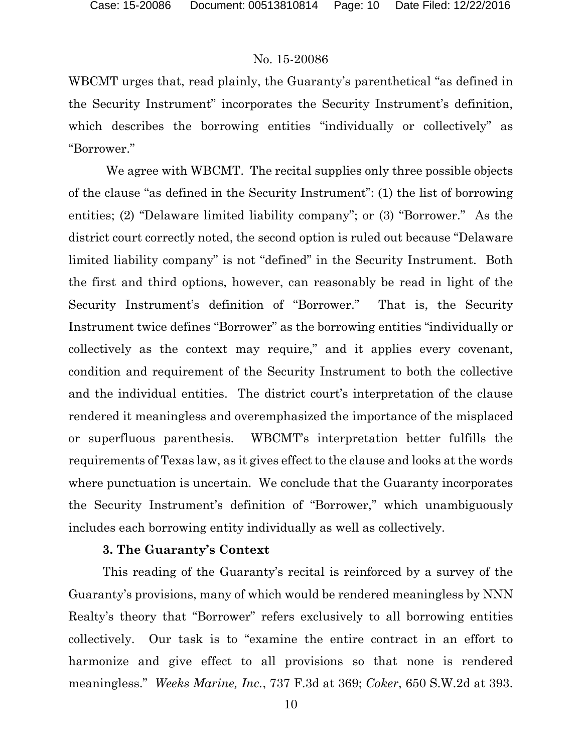WBCMT urges that, read plainly, the Guaranty's parenthetical "as defined in the Security Instrument" incorporates the Security Instrument's definition, which describes the borrowing entities "individually or collectively" as "Borrower."

We agree with WBCMT. The recital supplies only three possible objects of the clause "as defined in the Security Instrument": (1) the list of borrowing entities; (2) "Delaware limited liability company"; or (3) "Borrower." As the district court correctly noted, the second option is ruled out because "Delaware limited liability company" is not "defined" in the Security Instrument. Both the first and third options, however, can reasonably be read in light of the Security Instrument's definition of "Borrower." That is, the Security Instrument twice defines "Borrower" as the borrowing entities "individually or collectively as the context may require," and it applies every covenant, condition and requirement of the Security Instrument to both the collective and the individual entities. The district court's interpretation of the clause rendered it meaningless and overemphasized the importance of the misplaced or superfluous parenthesis. WBCMT's interpretation better fulfills the requirements of Texas law, as it gives effect to the clause and looks at the words where punctuation is uncertain. We conclude that the Guaranty incorporates the Security Instrument's definition of "Borrower," which unambiguously includes each borrowing entity individually as well as collectively.

#### **3. The Guaranty's Context**

This reading of the Guaranty's recital is reinforced by a survey of the Guaranty's provisions, many of which would be rendered meaningless by NNN Realty's theory that "Borrower" refers exclusively to all borrowing entities collectively. Our task is to "examine the entire contract in an effort to harmonize and give effect to all provisions so that none is rendered meaningless." *Weeks Marine, Inc.*, 737 F.3d at 369; *Coker*, 650 S.W.2d at 393.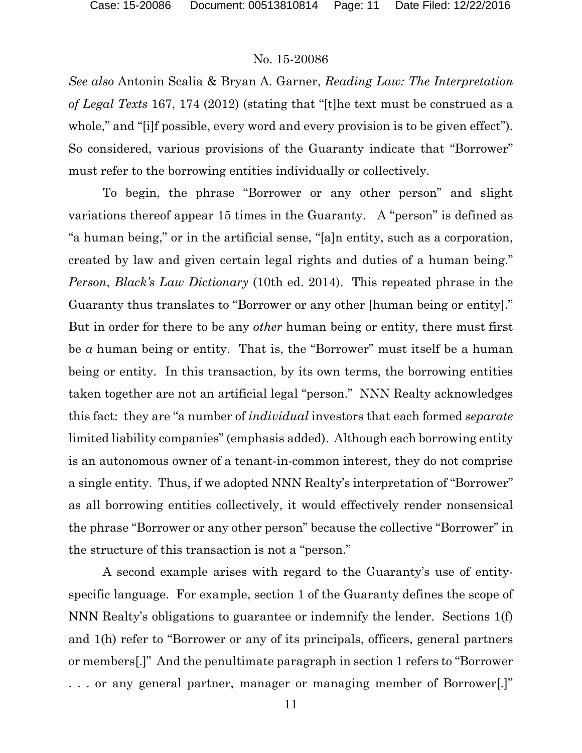*See also* Antonin Scalia & Bryan A. Garner, *Reading Law: The Interpretation of Legal Texts* 167, 174 (2012) (stating that "[t]he text must be construed as a whole," and "[i]f possible, every word and every provision is to be given effect"). So considered, various provisions of the Guaranty indicate that "Borrower" must refer to the borrowing entities individually or collectively.

To begin, the phrase "Borrower or any other person" and slight variations thereof appear 15 times in the Guaranty. A "person" is defined as "a human being," or in the artificial sense, "[a]n entity, such as a corporation, created by law and given certain legal rights and duties of a human being." *Person*, *Black's Law Dictionary* (10th ed. 2014). This repeated phrase in the Guaranty thus translates to "Borrower or any other [human being or entity]." But in order for there to be any *other* human being or entity, there must first be *a* human being or entity. That is, the "Borrower" must itself be a human being or entity. In this transaction, by its own terms, the borrowing entities taken together are not an artificial legal "person." NNN Realty acknowledges this fact: they are "a number of *individual* investors that each formed *separate*  limited liability companies" (emphasis added). Although each borrowing entity is an autonomous owner of a tenant-in-common interest, they do not comprise a single entity. Thus, if we adopted NNN Realty's interpretation of "Borrower" as all borrowing entities collectively, it would effectively render nonsensical the phrase "Borrower or any other person" because the collective "Borrower" in the structure of this transaction is not a "person."

A second example arises with regard to the Guaranty's use of entityspecific language. For example, section 1 of the Guaranty defines the scope of NNN Realty's obligations to guarantee or indemnify the lender. Sections 1(f) and 1(h) refer to "Borrower or any of its principals, officers, general partners or members[.]" And the penultimate paragraph in section 1 refers to "Borrower . . . or any general partner, manager or managing member of Borrower[.]"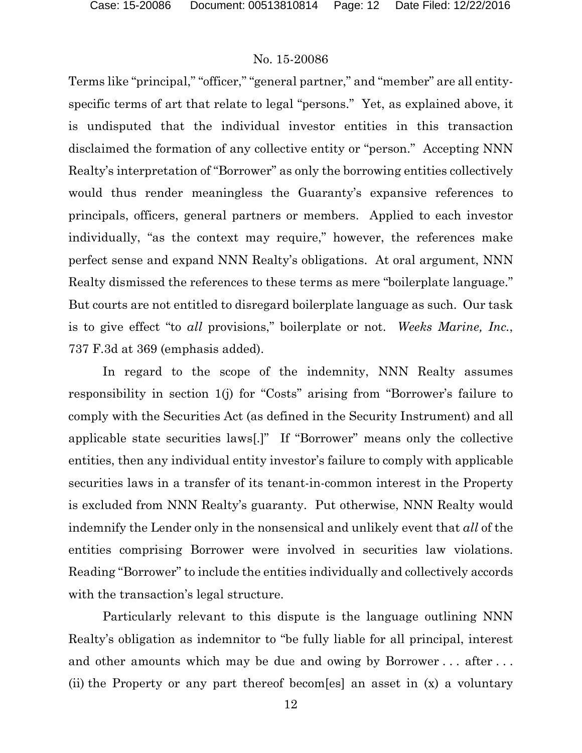Terms like "principal," "officer," "general partner," and "member" are all entityspecific terms of art that relate to legal "persons." Yet, as explained above, it is undisputed that the individual investor entities in this transaction disclaimed the formation of any collective entity or "person." Accepting NNN Realty's interpretation of "Borrower" as only the borrowing entities collectively would thus render meaningless the Guaranty's expansive references to principals, officers, general partners or members. Applied to each investor individually, "as the context may require," however, the references make perfect sense and expand NNN Realty's obligations. At oral argument, NNN Realty dismissed the references to these terms as mere "boilerplate language." But courts are not entitled to disregard boilerplate language as such. Our task is to give effect "to *all* provisions," boilerplate or not. *Weeks Marine, Inc.*, 737 F.3d at 369 (emphasis added).

In regard to the scope of the indemnity, NNN Realty assumes responsibility in section 1(j) for "Costs" arising from "Borrower's failure to comply with the Securities Act (as defined in the Security Instrument) and all applicable state securities laws[.]" If "Borrower" means only the collective entities, then any individual entity investor's failure to comply with applicable securities laws in a transfer of its tenant-in-common interest in the Property is excluded from NNN Realty's guaranty. Put otherwise, NNN Realty would indemnify the Lender only in the nonsensical and unlikely event that *all* of the entities comprising Borrower were involved in securities law violations. Reading "Borrower" to include the entities individually and collectively accords with the transaction's legal structure.

Particularly relevant to this dispute is the language outlining NNN Realty's obligation as indemnitor to "be fully liable for all principal, interest and other amounts which may be due and owing by Borrower . . . after . . . (ii) the Property or any part thereof becom[es] an asset in (x) a voluntary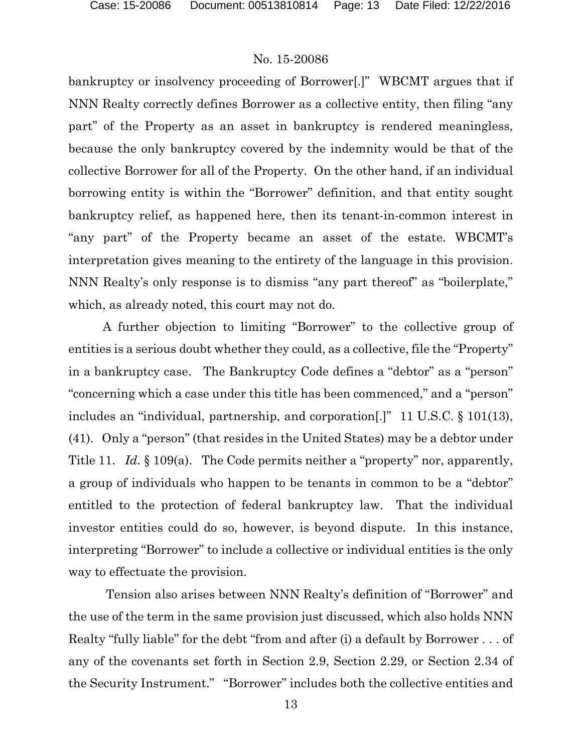bankruptcy or insolvency proceeding of Borrower[.]" WBCMT argues that if NNN Realty correctly defines Borrower as a collective entity, then filing "any part" of the Property as an asset in bankruptcy is rendered meaningless, because the only bankruptcy covered by the indemnity would be that of the collective Borrower for all of the Property. On the other hand, if an individual borrowing entity is within the "Borrower" definition, and that entity sought bankruptcy relief, as happened here, then its tenant-in-common interest in "any part" of the Property became an asset of the estate. WBCMT's interpretation gives meaning to the entirety of the language in this provision. NNN Realty's only response is to dismiss "any part thereof" as "boilerplate," which, as already noted, this court may not do.

A further objection to limiting "Borrower" to the collective group of entities is a serious doubt whether they could, as a collective, file the "Property" in a bankruptcy case. The Bankruptcy Code defines a "debtor" as a "person" "concerning which a case under this title has been commenced," and a "person" includes an "individual, partnership, and corporation[.]" 11 U.S.C. § 101(13), (41). Only a "person" (that resides in the United States) may be a debtor under Title 11. *Id.* § 109(a). The Code permits neither a "property" nor, apparently, a group of individuals who happen to be tenants in common to be a "debtor" entitled to the protection of federal bankruptcy law. That the individual investor entities could do so, however, is beyond dispute. In this instance, interpreting "Borrower" to include a collective or individual entities is the only way to effectuate the provision.

Tension also arises between NNN Realty's definition of "Borrower" and the use of the term in the same provision just discussed, which also holds NNN Realty "fully liable" for the debt "from and after (i) a default by Borrower . . . of any of the covenants set forth in Section 2.9, Section 2.29, or Section 2.34 of the Security Instrument." "Borrower" includes both the collective entities and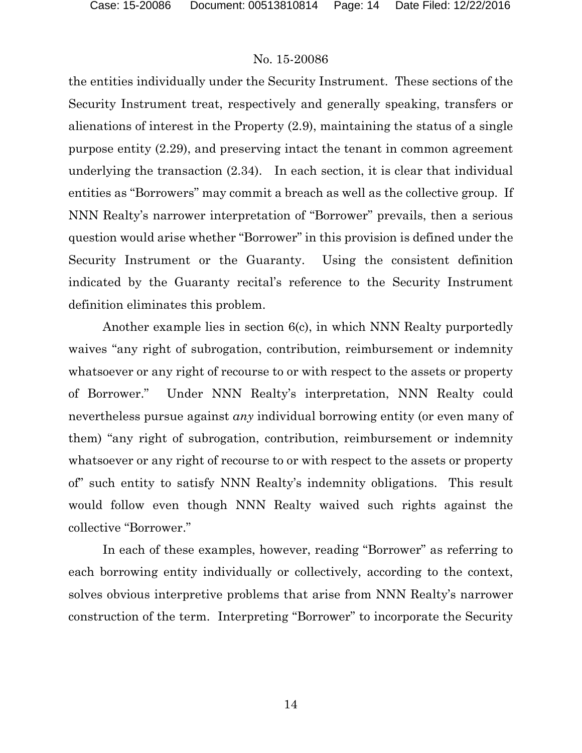the entities individually under the Security Instrument. These sections of the Security Instrument treat, respectively and generally speaking, transfers or alienations of interest in the Property (2.9), maintaining the status of a single purpose entity (2.29), and preserving intact the tenant in common agreement underlying the transaction (2.34). In each section, it is clear that individual entities as "Borrowers" may commit a breach as well as the collective group. If NNN Realty's narrower interpretation of "Borrower" prevails, then a serious question would arise whether "Borrower" in this provision is defined under the Security Instrument or the Guaranty. Using the consistent definition indicated by the Guaranty recital's reference to the Security Instrument definition eliminates this problem.

Another example lies in section 6(c), in which NNN Realty purportedly waives "any right of subrogation, contribution, reimbursement or indemnity whatsoever or any right of recourse to or with respect to the assets or property of Borrower." Under NNN Realty's interpretation, NNN Realty could nevertheless pursue against *any* individual borrowing entity (or even many of them) "any right of subrogation, contribution, reimbursement or indemnity whatsoever or any right of recourse to or with respect to the assets or property of" such entity to satisfy NNN Realty's indemnity obligations. This result would follow even though NNN Realty waived such rights against the collective "Borrower."

In each of these examples, however, reading "Borrower" as referring to each borrowing entity individually or collectively, according to the context, solves obvious interpretive problems that arise from NNN Realty's narrower construction of the term. Interpreting "Borrower" to incorporate the Security

14